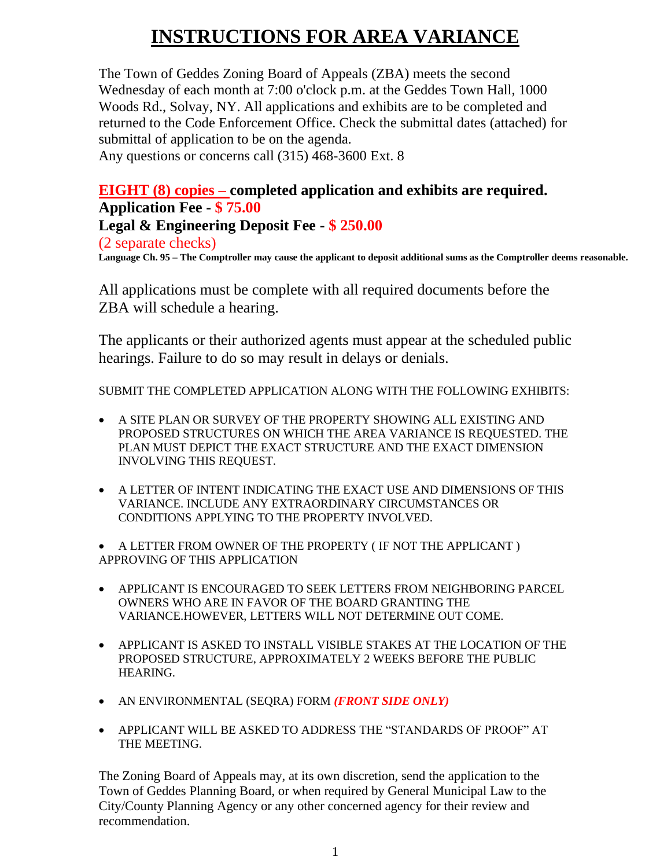# **INSTRUCTIONS FOR AREA VARIANCE**

The Town of Geddes Zoning Board of Appeals (ZBA) meets the second Wednesday of each month at 7:00 o'clock p.m. at the Geddes Town Hall, 1000 Woods Rd., Solvay, NY. All applications and exhibits are to be completed and returned to the Code Enforcement Office. Check the submittal dates (attached) for submittal of application to be on the agenda. Any questions or concerns call (315) 468-3600 Ext. 8

#### **EIGHT (8) copies – completed application and exhibits are required. Application Fee - \$ 75.00**

**Legal & Engineering Deposit Fee - \$ 250.00** 

(2 separate checks)

**Language Ch. 95 – The Comptroller may cause the applicant to deposit additional sums as the Comptroller deems reasonable.**

All applications must be complete with all required documents before the ZBA will schedule a hearing.

The applicants or their authorized agents must appear at the scheduled public hearings. Failure to do so may result in delays or denials.

SUBMIT THE COMPLETED APPLICATION ALONG WITH THE FOLLOWING EXHIBITS:

- A SITE PLAN OR SURVEY OF THE PROPERTY SHOWING ALL EXISTING AND PROPOSED STRUCTURES ON WHICH THE AREA VARIANCE IS REQUESTED. THE PLAN MUST DEPICT THE EXACT STRUCTURE AND THE EXACT DIMENSION INVOLVING THIS REQUEST.
- A LETTER OF INTENT INDICATING THE EXACT USE AND DIMENSIONS OF THIS VARIANCE. INCLUDE ANY EXTRAORDINARY CIRCUMSTANCES OR CONDITIONS APPLYING TO THE PROPERTY INVOLVED.

• A LETTER FROM OWNER OF THE PROPERTY ( IF NOT THE APPLICANT ) APPROVING OF THIS APPLICATION

- APPLICANT IS ENCOURAGED TO SEEK LETTERS FROM NEIGHBORING PARCEL OWNERS WHO ARE IN FAVOR OF THE BOARD GRANTING THE VARIANCE.HOWEVER, LETTERS WILL NOT DETERMINE OUT COME.
- APPLICANT IS ASKED TO INSTALL VISIBLE STAKES AT THE LOCATION OF THE PROPOSED STRUCTURE, APPROXIMATELY 2 WEEKS BEFORE THE PUBLIC HEARING.
- AN ENVIRONMENTAL (SEQRA) FORM *(FRONT SIDE ONLY)*
- APPLICANT WILL BE ASKED TO ADDRESS THE "STANDARDS OF PROOF" AT THE MEETING.

The Zoning Board of Appeals may, at its own discretion, send the application to the Town of Geddes Planning Board, or when required by General Municipal Law to the City/County Planning Agency or any other concerned agency for their review and recommendation.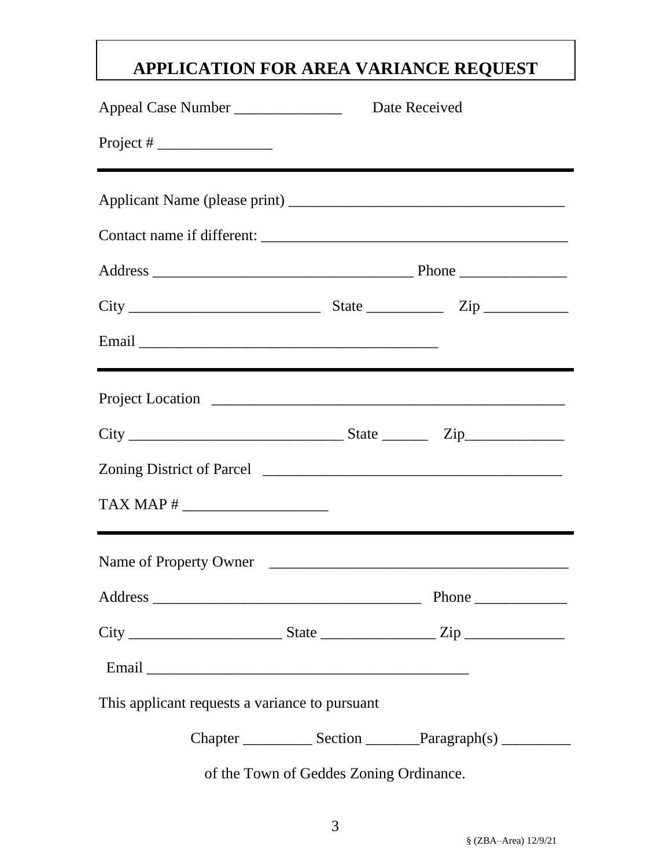## **APPLICATION FOR AREA VARIANCE REQUEST**

| Appeal Case Number ___________________ Date Received         |  |                                         |  |                                                                                  |  |  |
|--------------------------------------------------------------|--|-----------------------------------------|--|----------------------------------------------------------------------------------|--|--|
| Project # $\frac{1}{\sqrt{1-\frac{1}{2}} \cdot \frac{1}{2}}$ |  |                                         |  |                                                                                  |  |  |
|                                                              |  |                                         |  |                                                                                  |  |  |
|                                                              |  |                                         |  |                                                                                  |  |  |
|                                                              |  |                                         |  |                                                                                  |  |  |
|                                                              |  |                                         |  |                                                                                  |  |  |
|                                                              |  |                                         |  | ,我们也不会有什么。""我们的人,我们也不会有什么?""我们的人,我们也不会有什么?""我们的人,我们也不会有什么?""我们的人,我们也不会有什么?""我们的人 |  |  |
|                                                              |  |                                         |  |                                                                                  |  |  |
|                                                              |  |                                         |  |                                                                                  |  |  |
|                                                              |  |                                         |  |                                                                                  |  |  |
|                                                              |  |                                         |  |                                                                                  |  |  |
|                                                              |  |                                         |  | Name of Property Owner                                                           |  |  |
|                                                              |  |                                         |  |                                                                                  |  |  |
|                                                              |  |                                         |  |                                                                                  |  |  |
|                                                              |  |                                         |  |                                                                                  |  |  |
| This applicant requests a variance to pursuant               |  |                                         |  |                                                                                  |  |  |
|                                                              |  |                                         |  |                                                                                  |  |  |
|                                                              |  | of the Town of Geddes Zoning Ordinance. |  |                                                                                  |  |  |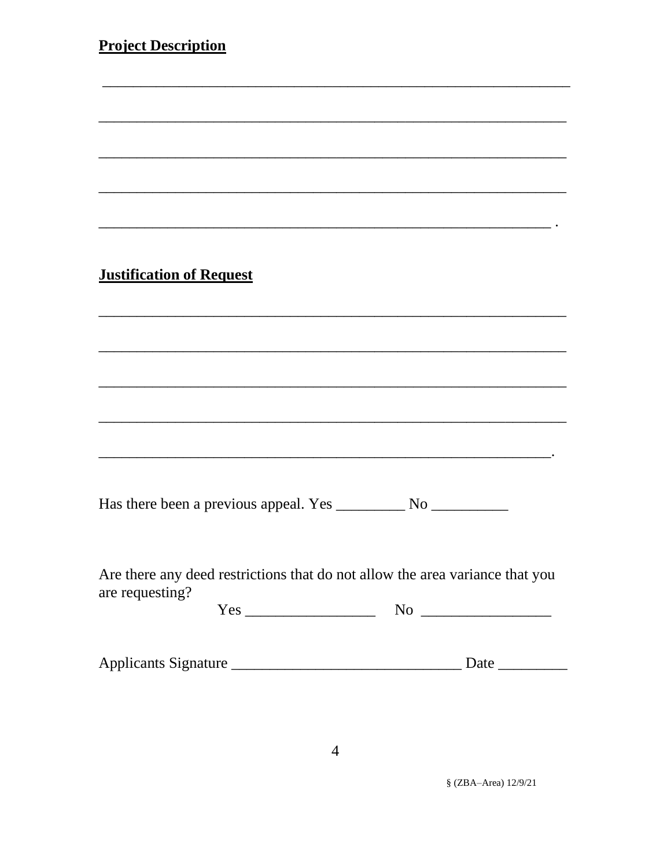| <b>Project Description</b>                                                   |
|------------------------------------------------------------------------------|
|                                                                              |
|                                                                              |
|                                                                              |
|                                                                              |
|                                                                              |
|                                                                              |
|                                                                              |
|                                                                              |
|                                                                              |
| <b>Justification of Request</b>                                              |
|                                                                              |
|                                                                              |
|                                                                              |
|                                                                              |
|                                                                              |
|                                                                              |
|                                                                              |
|                                                                              |
|                                                                              |
|                                                                              |
|                                                                              |
|                                                                              |
|                                                                              |
| Are there any deed restrictions that do not allow the area variance that you |
| are requesting?                                                              |
|                                                                              |
|                                                                              |
|                                                                              |
|                                                                              |